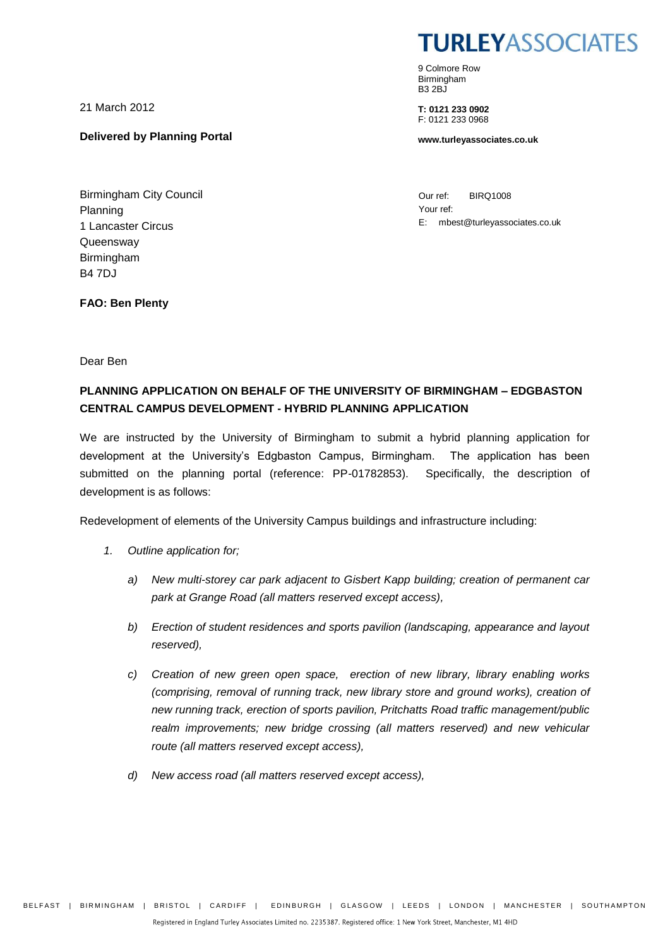21 March 2012

**Delivered by Planning Portal**

Birmingham City Council Planning 1 Lancaster Circus **Queensway** Birmingham B4 7DJ

**TURLEYASSOCIATES** 

9 Colmore Row Birmingham B3 2BJ

**T: 0121 233 0902** F: 0121 233 0968

**www.turleyassociates.co.uk**

Our ref: BIRQ1008 Your ref: E: mbest@turleyassociates.co.uk

**FAO: Ben Plenty**

Dear Ben

#### **PLANNING APPLICATION ON BEHALF OF THE UNIVERSITY OF BIRMINGHAM – EDGBASTON CENTRAL CAMPUS DEVELOPMENT - HYBRID PLANNING APPLICATION**

We are instructed by the University of Birmingham to submit a hybrid planning application for development at the University's Edgbaston Campus, Birmingham. The application has been submitted on the planning portal (reference: PP-01782853). Specifically, the description of development is as follows:

Redevelopment of elements of the University Campus buildings and infrastructure including:

- *1. Outline application for;*
	- *a) New multi-storey car park adjacent to Gisbert Kapp building; creation of permanent car park at Grange Road (all matters reserved except access),*
	- *b) Erection of student residences and sports pavilion (landscaping, appearance and layout reserved),*
	- *c) Creation of new green open space, erection of new library, library enabling works (comprising, removal of running track, new library store and ground works), creation of new running track, erection of sports pavilion, Pritchatts Road traffic management/public*  realm improvements; new bridge crossing (all matters reserved) and new vehicular *route (all matters reserved except access),*
	- *d) New access road (all matters reserved except access),*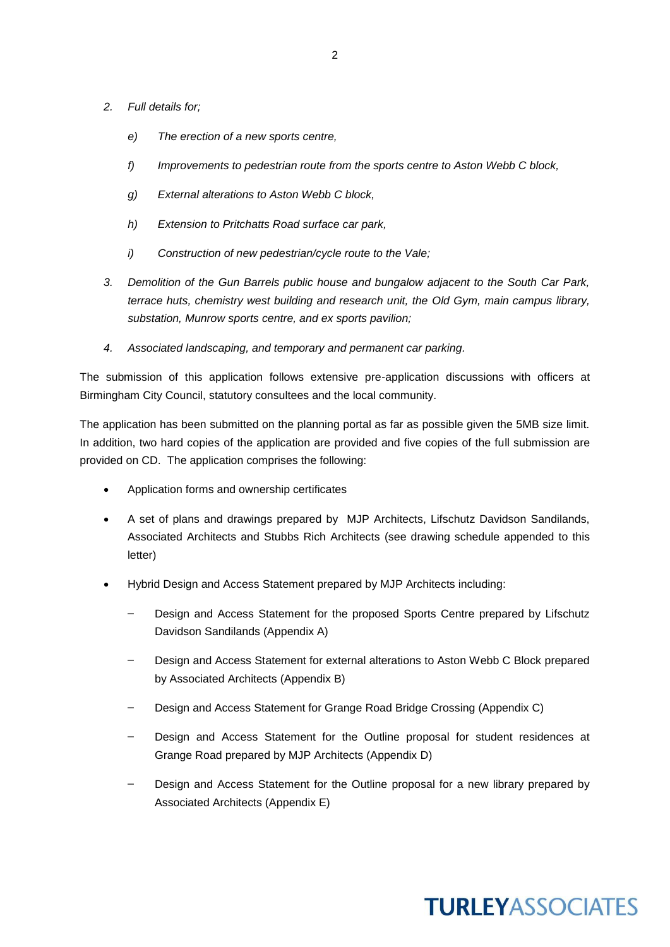- *2. Full details for;*
	- *e) The erection of a new sports centre,*
	- *f) Improvements to pedestrian route from the sports centre to Aston Webb C block,*
	- *g) External alterations to Aston Webb C block,*
	- *h) Extension to Pritchatts Road surface car park,*
	- *i) Construction of new pedestrian/cycle route to the Vale;*
- *3. Demolition of the Gun Barrels public house and bungalow adjacent to the South Car Park, terrace huts, chemistry west building and research unit, the Old Gym, main campus library, substation, Munrow sports centre, and ex sports pavilion;*
- *4. Associated landscaping, and temporary and permanent car parking.*

The submission of this application follows extensive pre-application discussions with officers at Birmingham City Council, statutory consultees and the local community.

The application has been submitted on the planning portal as far as possible given the 5MB size limit. In addition, two hard copies of the application are provided and five copies of the full submission are provided on CD. The application comprises the following:

- Application forms and ownership certificates
- A set of plans and drawings prepared by MJP Architects, Lifschutz Davidson Sandilands, Associated Architects and Stubbs Rich Architects (see drawing schedule appended to this letter)
- Hybrid Design and Access Statement prepared by MJP Architects including:
	- Design and Access Statement for the proposed Sports Centre prepared by Lifschutz Davidson Sandilands (Appendix A)
	- Design and Access Statement for external alterations to Aston Webb C Block prepared by Associated Architects (Appendix B)
	- Design and Access Statement for Grange Road Bridge Crossing (Appendix C)
	- Design and Access Statement for the Outline proposal for student residences at Grange Road prepared by MJP Architects (Appendix D)
	- Design and Access Statement for the Outline proposal for a new library prepared by Associated Architects (Appendix E)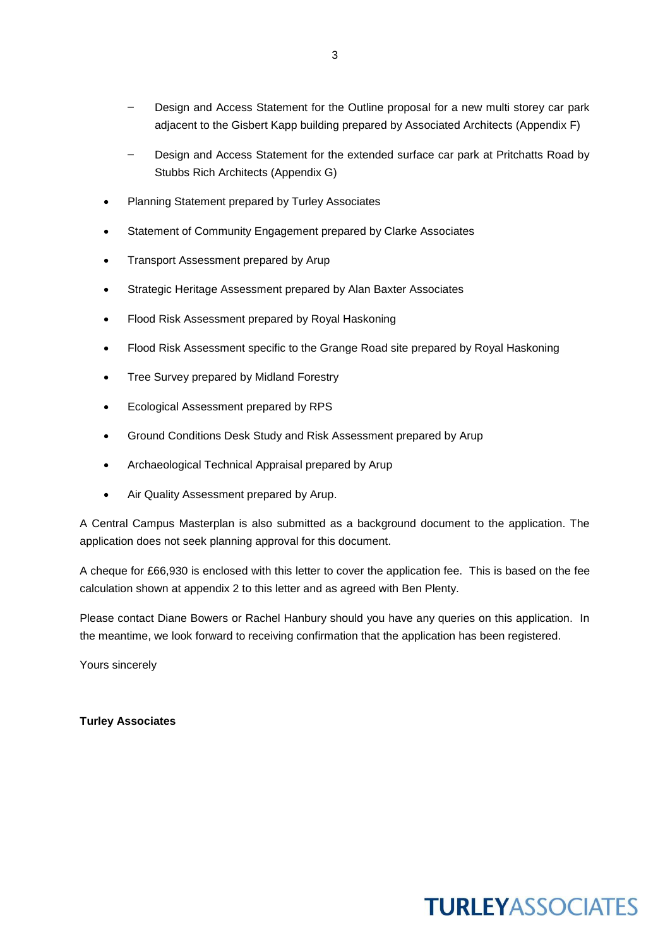- Design and Access Statement for the Outline proposal for a new multi storey car park adjacent to the Gisbert Kapp building prepared by Associated Architects (Appendix F)
- Design and Access Statement for the extended surface car park at Pritchatts Road by Stubbs Rich Architects (Appendix G)
- Planning Statement prepared by Turley Associates
- Statement of Community Engagement prepared by Clarke Associates
- Transport Assessment prepared by Arup
- Strategic Heritage Assessment prepared by Alan Baxter Associates
- Flood Risk Assessment prepared by Royal Haskoning
- Flood Risk Assessment specific to the Grange Road site prepared by Royal Haskoning
- Tree Survey prepared by Midland Forestry
- Ecological Assessment prepared by RPS
- Ground Conditions Desk Study and Risk Assessment prepared by Arup
- Archaeological Technical Appraisal prepared by Arup
- Air Quality Assessment prepared by Arup.

A Central Campus Masterplan is also submitted as a background document to the application. The application does not seek planning approval for this document.

A cheque for £66,930 is enclosed with this letter to cover the application fee. This is based on the fee calculation shown at appendix 2 to this letter and as agreed with Ben Plenty.

Please contact Diane Bowers or Rachel Hanbury should you have any queries on this application. In the meantime, we look forward to receiving confirmation that the application has been registered.

Yours sincerely

**Turley Associates**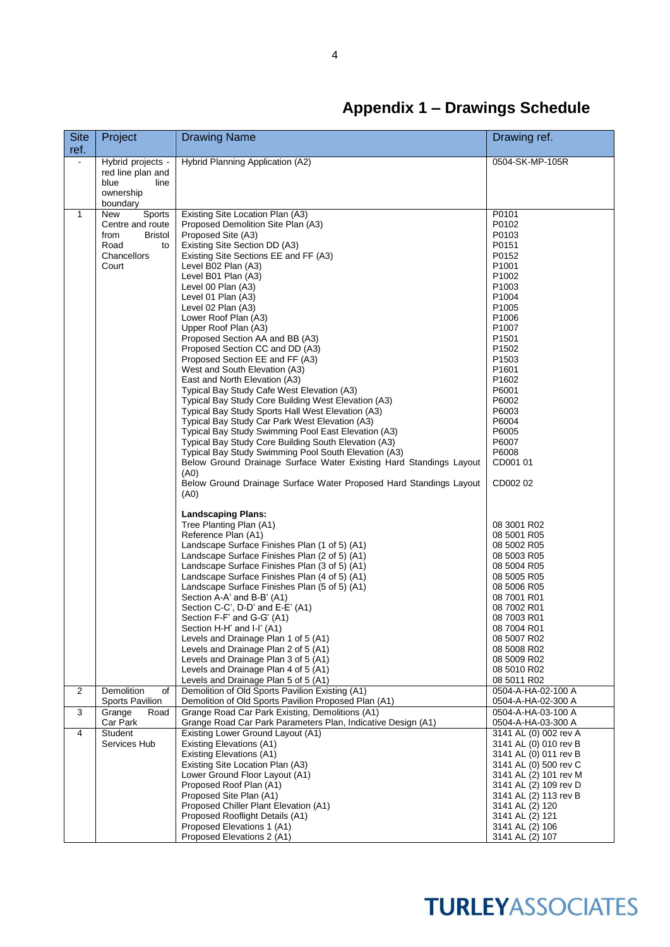## **Appendix 1 – Drawings Schedule**

| <b>Site</b><br>ref. | Project                                                                                    | <b>Drawing Name</b>                                                                                                                                                                                                                                                                                                                                                                                                                                                                                                                                                                                                                                                                                                                                                                                                                                                                                                                                                                                                                                                                                                                                                                                                                                                                                                                                                                                                                                                                                                                                                                                                                                        | Drawing ref.                                                                                                                                                                                                                                                                                                                                                                                                                                                                                                                                       |
|---------------------|--------------------------------------------------------------------------------------------|------------------------------------------------------------------------------------------------------------------------------------------------------------------------------------------------------------------------------------------------------------------------------------------------------------------------------------------------------------------------------------------------------------------------------------------------------------------------------------------------------------------------------------------------------------------------------------------------------------------------------------------------------------------------------------------------------------------------------------------------------------------------------------------------------------------------------------------------------------------------------------------------------------------------------------------------------------------------------------------------------------------------------------------------------------------------------------------------------------------------------------------------------------------------------------------------------------------------------------------------------------------------------------------------------------------------------------------------------------------------------------------------------------------------------------------------------------------------------------------------------------------------------------------------------------------------------------------------------------------------------------------------------------|----------------------------------------------------------------------------------------------------------------------------------------------------------------------------------------------------------------------------------------------------------------------------------------------------------------------------------------------------------------------------------------------------------------------------------------------------------------------------------------------------------------------------------------------------|
| ä,                  | Hybrid projects -<br>red line plan and<br>blue<br>line<br>ownership<br>boundary            | Hybrid Planning Application (A2)                                                                                                                                                                                                                                                                                                                                                                                                                                                                                                                                                                                                                                                                                                                                                                                                                                                                                                                                                                                                                                                                                                                                                                                                                                                                                                                                                                                                                                                                                                                                                                                                                           | 0504-SK-MP-105R                                                                                                                                                                                                                                                                                                                                                                                                                                                                                                                                    |
| $\mathbf{1}$        | New<br>Sports<br>Centre and route<br>from<br>Bristol<br>Road<br>to<br>Chancellors<br>Court | Existing Site Location Plan (A3)<br>Proposed Demolition Site Plan (A3)<br>Proposed Site (A3)<br>Existing Site Section DD (A3)<br>Existing Site Sections EE and FF (A3)<br>Level B02 Plan (A3)<br>Level B01 Plan (A3)<br>Level 00 Plan (A3)<br>Level 01 Plan (A3)<br>Level 02 Plan (A3)<br>Lower Roof Plan (A3)<br>Upper Roof Plan (A3)<br>Proposed Section AA and BB (A3)<br>Proposed Section CC and DD (A3)<br>Proposed Section EE and FF (A3)<br>West and South Elevation (A3)<br>East and North Elevation (A3)<br>Typical Bay Study Cafe West Elevation (A3)<br>Typical Bay Study Core Building West Elevation (A3)<br>Typical Bay Study Sports Hall West Elevation (A3)<br>Typical Bay Study Car Park West Elevation (A3)<br>Typical Bay Study Swimming Pool East Elevation (A3)<br>Typical Bay Study Core Building South Elevation (A3)<br>Typical Bay Study Swimming Pool South Elevation (A3)<br>Below Ground Drainage Surface Water Existing Hard Standings Layout<br>(A0)<br>Below Ground Drainage Surface Water Proposed Hard Standings Layout<br>(A0)<br><b>Landscaping Plans:</b><br>Tree Planting Plan (A1)<br>Reference Plan (A1)<br>Landscape Surface Finishes Plan (1 of 5) (A1)<br>Landscape Surface Finishes Plan (2 of 5) (A1)<br>Landscape Surface Finishes Plan (3 of 5) (A1)<br>Landscape Surface Finishes Plan (4 of 5) (A1)<br>Landscape Surface Finishes Plan (5 of 5) (A1)<br>Section A-A' and B-B' (A1)<br>Section C-C', D-D' and E-E' (A1)<br>Section F-F' and G-G' (A1)<br>Section H-H' and I-I' (A1)<br>Levels and Drainage Plan 1 of 5 (A1)<br>Levels and Drainage Plan 2 of 5 (A1)<br>Levels and Drainage Plan 3 of 5 (A1) | P0101<br>P0102<br>P0103<br>P0151<br>P0152<br>P <sub>1001</sub><br>P1002<br>P <sub>1003</sub><br>P1004<br>P <sub>1005</sub><br>P1006<br>P1007<br>P <sub>1501</sub><br>P <sub>1502</sub><br>P <sub>1503</sub><br>P <sub>1601</sub><br>P1602<br>P6001<br>P6002<br>P6003<br>P6004<br>P6005<br>P6007<br>P6008<br>CD001 01<br>CD002 02<br>08 3001 R02<br>08 5001 R05<br>08 5002 R05<br>08 5003 R05<br>08 5004 R05<br>08 5005 R05<br>08 5006 R05<br>08 7001 R01<br>08 7002 R01<br>08 7003 R01<br>08 7004 R01<br>08 5007 R02<br>08 5008 R02<br>08 5009 R02 |
| 2                   | Demolition<br>of<br>Sports Pavilion                                                        | Levels and Drainage Plan 4 of 5 (A1)<br>Levels and Drainage Plan 5 of 5 (A1)<br>Demolition of Old Sports Pavilion Existing (A1)<br>Demolition of Old Sports Pavilion Proposed Plan (A1)                                                                                                                                                                                                                                                                                                                                                                                                                                                                                                                                                                                                                                                                                                                                                                                                                                                                                                                                                                                                                                                                                                                                                                                                                                                                                                                                                                                                                                                                    | 08 5010 R02<br>08 5011 R02<br>0504-A-HA-02-100 A<br>0504-A-HA-02-300 A                                                                                                                                                                                                                                                                                                                                                                                                                                                                             |
| 3                   | Grange<br>Road<br>Car Park                                                                 | Grange Road Car Park Existing, Demolitions (A1)<br>Grange Road Car Park Parameters Plan, Indicative Design (A1)                                                                                                                                                                                                                                                                                                                                                                                                                                                                                                                                                                                                                                                                                                                                                                                                                                                                                                                                                                                                                                                                                                                                                                                                                                                                                                                                                                                                                                                                                                                                            | 0504-A-HA-03-100 A<br>0504-A-HA-03-300 A                                                                                                                                                                                                                                                                                                                                                                                                                                                                                                           |
| 4                   | Student<br>Services Hub                                                                    | Existing Lower Ground Layout (A1)<br><b>Existing Elevations (A1)</b><br><b>Existing Elevations (A1)</b><br>Existing Site Location Plan (A3)<br>Lower Ground Floor Layout (A1)<br>Proposed Roof Plan (A1)<br>Proposed Site Plan (A1)<br>Proposed Chiller Plant Elevation (A1)<br>Proposed Rooflight Details (A1)<br>Proposed Elevations 1 (A1)<br>Proposed Elevations 2 (A1)                                                                                                                                                                                                                                                                                                                                                                                                                                                                                                                                                                                                                                                                                                                                                                                                                                                                                                                                                                                                                                                                                                                                                                                                                                                                                | 3141 AL (0) 002 rev A<br>3141 AL (0) 010 rev B<br>3141 AL (0) 011 rev B<br>3141 AL (0) 500 rev C<br>3141 AL (2) 101 rev M<br>3141 AL (2) 109 rev D<br>3141 AL (2) 113 rev B<br>3141 AL (2) 120<br>3141 AL (2) 121<br>3141 AL (2) 106<br>3141 AL (2) 107                                                                                                                                                                                                                                                                                            |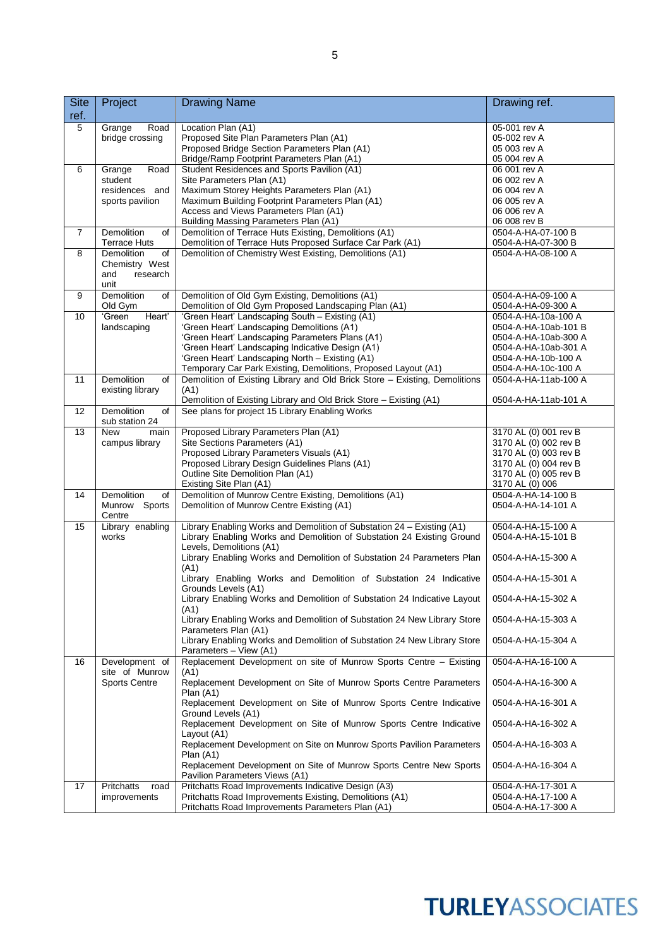| <b>Site</b><br>ref. | Project                                                              | <b>Drawing Name</b>                                                                                                                                                                                                                                                                                                                                                                                                                                                                                                                                                                                                                                        | Drawing ref.                                                                                                                                           |
|---------------------|----------------------------------------------------------------------|------------------------------------------------------------------------------------------------------------------------------------------------------------------------------------------------------------------------------------------------------------------------------------------------------------------------------------------------------------------------------------------------------------------------------------------------------------------------------------------------------------------------------------------------------------------------------------------------------------------------------------------------------------|--------------------------------------------------------------------------------------------------------------------------------------------------------|
| 5                   | Grange<br>Road<br>bridge crossing                                    | Location Plan (A1)<br>Proposed Site Plan Parameters Plan (A1)<br>Proposed Bridge Section Parameters Plan (A1)<br>Bridge/Ramp Footprint Parameters Plan (A1)                                                                                                                                                                                                                                                                                                                                                                                                                                                                                                | 05-001 rev A<br>05-002 rev A<br>05 003 rev A<br>05 004 rev A                                                                                           |
| 6                   | Road<br>Grange<br>student<br>residences and<br>sports pavilion       | Student Residences and Sports Pavilion (A1)<br>Site Parameters Plan (A1)<br>Maximum Storey Heights Parameters Plan (A1)<br>Maximum Building Footprint Parameters Plan (A1)<br>Access and Views Parameters Plan (A1)<br>Building Massing Parameters Plan (A1)                                                                                                                                                                                                                                                                                                                                                                                               | 06 001 rev A<br>06 002 rev A<br>06 004 rev A<br>06 005 rev A<br>06 006 rev A<br>06 008 rev B                                                           |
| $\overline{7}$      | <b>Demolition</b><br>of<br><b>Terrace Huts</b>                       | Demolition of Terrace Huts Existing, Demolitions (A1)<br>Demolition of Terrace Huts Proposed Surface Car Park (A1)                                                                                                                                                                                                                                                                                                                                                                                                                                                                                                                                         | 0504-A-HA-07-100 B<br>0504-A-HA-07-300 B                                                                                                               |
| 8                   | <b>Demolition</b><br>οf<br>Chemistry West<br>research<br>and<br>unit | Demolition of Chemistry West Existing, Demolitions (A1)                                                                                                                                                                                                                                                                                                                                                                                                                                                                                                                                                                                                    | 0504-A-HA-08-100 A                                                                                                                                     |
| 9                   | <b>Demolition</b><br>of<br>Old Gym                                   | Demolition of Old Gym Existing, Demolitions (A1)<br>Demolition of Old Gym Proposed Landscaping Plan (A1)                                                                                                                                                                                                                                                                                                                                                                                                                                                                                                                                                   | 0504-A-HA-09-100 A<br>0504-A-HA-09-300 A                                                                                                               |
| 10                  | 'Green<br>Heart'<br>landscaping                                      | 'Green Heart' Landscaping South - Existing (A1)<br>'Green Heart' Landscaping Demolitions (A1)<br>'Green Heart' Landscaping Parameters Plans (A1)<br>'Green Heart' Landscaping Indicative Design (A1)<br>'Green Heart' Landscaping North - Existing (A1)<br>Temporary Car Park Existing, Demolitions, Proposed Layout (A1)                                                                                                                                                                                                                                                                                                                                  | 0504-A-HA-10a-100 A<br>0504-A-HA-10ab-101 B<br>0504-A-HA-10ab-300 A<br>0504-A-HA-10ab-301 A<br>0504-A-HA-10b-100 A<br>0504-A-HA-10c-100 A              |
| 11                  | <b>Demolition</b><br>of<br>existing library                          | Demolition of Existing Library and Old Brick Store - Existing, Demolitions<br>(A1)<br>Demolition of Existing Library and Old Brick Store - Existing (A1)                                                                                                                                                                                                                                                                                                                                                                                                                                                                                                   | 0504-A-HA-11ab-100 A<br>0504-A-HA-11ab-101 A                                                                                                           |
| 12                  | Demolition<br>of<br>sub station 24                                   | See plans for project 15 Library Enabling Works                                                                                                                                                                                                                                                                                                                                                                                                                                                                                                                                                                                                            |                                                                                                                                                        |
| 13                  | <b>New</b><br>main<br>campus library                                 | Proposed Library Parameters Plan (A1)<br>Site Sections Parameters (A1)<br>Proposed Library Parameters Visuals (A1)<br>Proposed Library Design Guidelines Plans (A1)<br>Outline Site Demolition Plan (A1)<br>Existing Site Plan (A1)                                                                                                                                                                                                                                                                                                                                                                                                                        | 3170 AL (0) 001 rev B<br>3170 AL (0) 002 rev B<br>3170 AL (0) 003 rev B<br>3170 AL (0) 004 rev B<br>3170 AL (0) 005 rev B<br>3170 AL (0) 006           |
| 14                  | <b>Demolition</b><br>of<br>Munrow Sports<br>Centre                   | Demolition of Munrow Centre Existing, Demolitions (A1)<br>Demolition of Munrow Centre Existing (A1)                                                                                                                                                                                                                                                                                                                                                                                                                                                                                                                                                        | 0504-A-HA-14-100 B<br>0504-A-HA-14-101 A                                                                                                               |
| 15                  | Library enabling<br>works                                            | Library Enabling Works and Demolition of Substation 24 - Existing (A1)<br>Library Enabling Works and Demolition of Substation 24 Existing Ground<br>Levels, Demolitions (A1)<br>Library Enabling Works and Demolition of Substation 24 Parameters Plan<br>(A1)<br>Library Enabling Works and Demolition of Substation 24 Indicative<br>Grounds Levels (A1)<br>Library Enabling Works and Demolition of Substation 24 Indicative Layout  <br>(A1)<br>Library Enabling Works and Demolition of Substation 24 New Library Store<br>Parameters Plan (A1)<br>Library Enabling Works and Demolition of Substation 24 New Library Store<br>Parameters - View (A1) | 0504-A-HA-15-100 A<br>0504-A-HA-15-101 B<br>0504-A-HA-15-300 A<br>0504-A-HA-15-301 A<br>0504-A-HA-15-302 A<br>0504-A-HA-15-303 A<br>0504-A-HA-15-304 A |
| 16                  | Development of<br>site of Munrow<br><b>Sports Centre</b>             | Replacement Development on site of Munrow Sports Centre - Existing<br>(A1)<br>Replacement Development on Site of Munrow Sports Centre Parameters<br>Plan(A1)<br>Replacement Development on Site of Munrow Sports Centre Indicative<br>Ground Levels (A1)<br>Replacement Development on Site of Munrow Sports Centre Indicative<br>Layout (A1)<br>Replacement Development on Site on Munrow Sports Pavilion Parameters<br>Plan (A1)<br>Replacement Development on Site of Munrow Sports Centre New Sports<br>Pavilion Parameters Views (A1)                                                                                                                 | 0504-A-HA-16-100 A<br>0504-A-HA-16-300 A<br>0504-A-HA-16-301 A<br>0504-A-HA-16-302 A<br>0504-A-HA-16-303 A<br>0504-A-HA-16-304 A                       |
| 17                  | Pritchatts<br>road<br>improvements                                   | Pritchatts Road Improvements Indicative Design (A3)<br>Pritchatts Road Improvements Existing, Demolitions (A1)<br>Pritchatts Road Improvements Parameters Plan (A1)                                                                                                                                                                                                                                                                                                                                                                                                                                                                                        | 0504-A-HA-17-301 A<br>0504-A-HA-17-100 A<br>0504-A-HA-17-300 A                                                                                         |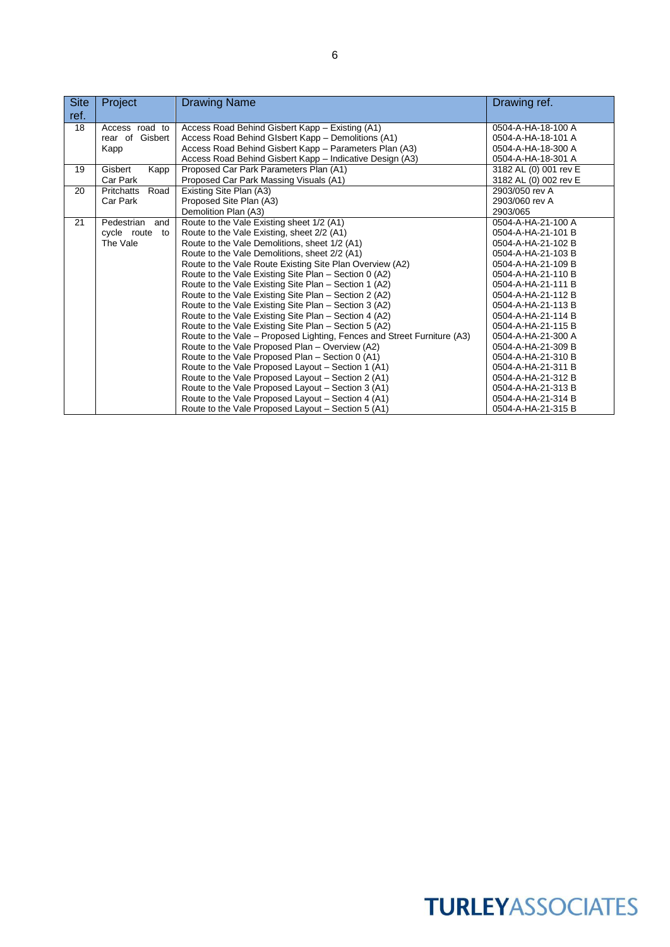| <b>Site</b> | Project            | <b>Drawing Name</b>                                                     | Drawing ref.          |
|-------------|--------------------|-------------------------------------------------------------------------|-----------------------|
| ref.        |                    |                                                                         |                       |
| 18          | Access road to     | Access Road Behind Gisbert Kapp - Existing (A1)                         | 0504-A-HA-18-100 A    |
|             | rear of Gisbert    | Access Road Behind Glsbert Kapp – Demolitions (A1)                      | 0504-A-HA-18-101 A    |
|             | Kapp               | Access Road Behind Gisbert Kapp - Parameters Plan (A3)                  | 0504-A-HA-18-300 A    |
|             |                    | Access Road Behind Gisbert Kapp - Indicative Design (A3)                | 0504-A-HA-18-301 A    |
| 19          | Gisbert<br>Kapp    | Proposed Car Park Parameters Plan (A1)                                  | 3182 AL (0) 001 rev E |
|             | Car Park           | Proposed Car Park Massing Visuals (A1)                                  | 3182 AL (0) 002 rev E |
| 20          | Road<br>Pritchatts | Existing Site Plan (A3)                                                 | 2903/050 rev A        |
|             | Car Park           | Proposed Site Plan (A3)                                                 | 2903/060 rev A        |
|             |                    | Demolition Plan (A3)                                                    | 2903/065              |
| 21          | Pedestrian<br>and  | Route to the Vale Existing sheet 1/2 (A1)                               | 0504-A-HA-21-100 A    |
|             | cycle route<br>to  | Route to the Vale Existing, sheet 2/2 (A1)                              | 0504-A-HA-21-101 B    |
|             | The Vale           | Route to the Vale Demolitions, sheet 1/2 (A1)                           | 0504-A-HA-21-102 B    |
|             |                    | Route to the Vale Demolitions, sheet 2/2 (A1)                           | 0504-A-HA-21-103 B    |
|             |                    | Route to the Vale Route Existing Site Plan Overview (A2)                | 0504-A-HA-21-109 B    |
|             |                    | Route to the Vale Existing Site Plan - Section 0 (A2)                   | 0504-A-HA-21-110 B    |
|             |                    | Route to the Vale Existing Site Plan - Section 1 (A2)                   | 0504-A-HA-21-111 B    |
|             |                    | Route to the Vale Existing Site Plan - Section 2 (A2)                   | 0504-A-HA-21-112 B    |
|             |                    | Route to the Vale Existing Site Plan - Section 3 (A2)                   | 0504-A-HA-21-113 B    |
|             |                    | Route to the Vale Existing Site Plan - Section 4 (A2)                   | 0504-A-HA-21-114 B    |
|             |                    | Route to the Vale Existing Site Plan - Section 5 (A2)                   | 0504-A-HA-21-115 B    |
|             |                    | Route to the Vale – Proposed Lighting, Fences and Street Furniture (A3) | 0504-A-HA-21-300 A    |
|             |                    | Route to the Vale Proposed Plan - Overview (A2)                         | 0504-A-HA-21-309 B    |
|             |                    | Route to the Vale Proposed Plan - Section 0 (A1)                        | 0504-A-HA-21-310 B    |
|             |                    | Route to the Vale Proposed Layout - Section 1 (A1)                      | 0504-A-HA-21-311 B    |
|             |                    | Route to the Vale Proposed Layout - Section 2 (A1)                      | 0504-A-HA-21-312 B    |
|             |                    | Route to the Vale Proposed Layout - Section 3 (A1)                      | 0504-A-HA-21-313 B    |
|             |                    | Route to the Vale Proposed Layout - Section 4 (A1)                      | 0504-A-HA-21-314 B    |
|             |                    | Route to the Vale Proposed Layout - Section 5 (A1)                      | 0504-A-HA-21-315 B    |